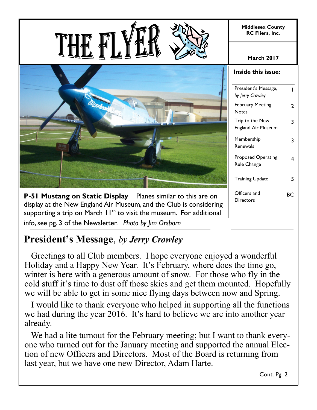**Middlesex County RC Fliers, Inc.**

#### **March 2017**



**P-51 Mustang on Static Display** Planes similar to this are on display at the New England Air Museum, and the Club is considering supporting a trip on March  $H^{\text{th}}$  to visit the museum. For additional info, see pg. 3 of the Newsletter. *Photo by Jim Orsborn* 

| <b>Inside this issue:</b>                |    |
|------------------------------------------|----|
| President's Message,<br>by Jerry Crowley | ı  |
| <b>February Meeting</b><br>Notes         | 7  |
| Trip to the New<br>England Air Museum    | 3  |
| Membership<br>Renewals                   | 3  |
| <b>Proposed Operating</b><br>Rule Change | 4  |
| Training Update                          | 5  |
| Officers and<br>Directors                | RС |

### **President's Message**, *by Jerry Crowley*

 Greetings to all Club members. I hope everyone enjoyed a wonderful Holiday and a Happy New Year. It's February, where does the time go, winter is here with a generous amount of snow. For those who fly in the cold stuff it's time to dust off those skies and get them mounted. Hopefully we will be able to get in some nice flying days between now and Spring.

 I would like to thank everyone who helped in supporting all the functions we had during the year 2016. It's hard to believe we are into another year already.

We had a lite turnout for the February meeting; but I want to thank everyone who turned out for the January meeting and supported the annual Election of new Officers and Directors. Most of the Board is returning from last year, but we have one new Director, Adam Harte.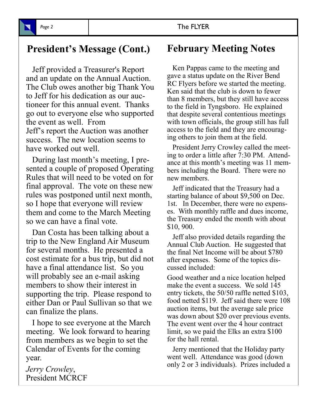# **President's Message (Cont.) February Meeting Notes**

 Jeff provided a Treasurer's Report and an update on the Annual Auction. The Club owes another big Thank You to Jeff for his dedication as our auctioneer for this annual event. Thanks go out to everyone else who supported the event as well. From Jeff's report the Auction was another success. The new location seems to have worked out well.

 During last month's meeting, I presented a couple of proposed Operating Rules that will need to be voted on for final approval. The vote on these new rules was postponed until next month, so I hope that everyone will review them and come to the March Meeting so we can have a final vote.

 Dan Costa has been talking about a trip to the New England Air Museum for several months. He presented a cost estimate for a bus trip, but did not have a final attendance list. So you will probably see an e-mail asking members to show their interest in supporting the trip. Please respond to either Dan or Paul Sullivan so that we can finalize the plans.

 I hope to see everyone at the March meeting. We look forward to hearing from members as we begin to set the Calendar of Events for the coming year.

*Jerry Crowley*, President MCRCF

 Ken Pappas came to the meeting and gave a status update on the River Bend RC Flyers before we started the meeting. Ken said that the club is down to fewer than 8 members, but they still have access to the field in Tyngsboro. He explained that despite several contentious meetings with town officials, the group still has full access to the field and they are encouraging others to join them at the field.

 President Jerry Crowley called the meeting to order a little after 7:30 PM. Attendance at this month's meeting was 11 members including the Board. There were no new members.

 Jeff indicated that the Treasury had a starting balance of about \$9,500 on Dec. 1st. In December, there were no expenses. With monthly raffle and dues income, the Treasury ended the month with about \$10, 900.

 Jeff also provided details regarding the Annual Club Auction. He suggested that the final Net Income will be about \$780 after expenses. Some of the topics discussed included:

Good weather and a nice location helped make the event a success. We sold 145 entry tickets, the 50/50 raffle netted \$103, food netted \$119. Jeff said there were 108 auction items, but the average sale price was down about \$20 over previous events. The event went over the 4 hour contract limit, so we paid the Elks an extra \$100 for the hall rental.

 Jerry mentioned that the Holiday party went well. Attendance was good (down only 2 or 3 individuals). Prizes included a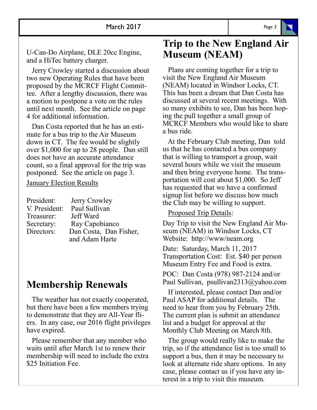U-Can-Do Airplane, DLE 20cc Engine, and a HiTec battery charger.

 Jerry Crowley started a discussion about two new Operating Rules that have been proposed by the MCRCF Flight Committee. After a lengthy discussion, there was a motion to postpone a vote on the rules until next month. See the article on page 4 for additional information.

 Dan Costa reported that he has an estimate for a bus trip to the Air Museum down in CT. The fee would be slightly over \$1,000 for up to 28 people. Dan still does not have an accurate attendance count, so a final approval for the trip was postponed. See the article on page 3.

January Election Results

| President:    | Jerry Crowley          |
|---------------|------------------------|
| V. President: | Paul Sullivan          |
| Treasurer:    | Jeff Ward              |
| Secretary:    | Ray Capobianco         |
| Directors:    | Dan Costa, Dan Fisher, |
|               | and Adam Harte         |

### **Membership Renewals**

 The weather has not exactly cooperated, but there have been a few members trying to demonstrate that they are All-Year fliers. In any case, our 2016 flight privileges have expired.

 Please remember that any member who waits until after March 1st to renew their membership will need to include the extra \$25 Initiation Fee.

#### **Trip to the New England Air Museum (NEAM)**

 Plans are coming together for a trip to visit the New England Air Museum (NEAM) located in Windsor Locks, CT. This has been a dream that Dan Costa has discussed at several recent meetings. With so many exhibits to see, Dan has been hoping the pull together a small group of MCRCF Members who would like to share a bus ride.

 At the February Club meeting, Dan told us that he has contacted a bus company that is willing to transport a group, wait several hours while we visit the museum and then bring everyone home. The transportation will cost about \$1,000. So Jeff has requested that we have a confirmed signup list before we discuss how much the Club may be willing to support.

Proposed Trip Details:

Day Trip to visit the New England Air Museum (NEAM) in Windsor Locks, CT Website: http://www/neam.org

Date: Saturday, March 11, 2017 Transportation Cost: Est. \$40 per person Museum Entry Fee and Food is extra.

POC: Dan Costa (978) 987-2124 and/or Paul Sullivan, psullivan2313@yahoo.com

 If interested, please contact Dan and/or Paul ASAP for additional details. The need to hear from you by February 25th. The current plan is submit an attendance list and a budget for approval at the Monthly Club Meeting on March 8th.

 The group would really like to make the trip, so if the attendance list is too small to support a bus, then it may be necessary to look at alternate ride share options. In any case, please contact us if you have any interest in a trip to visit this museum.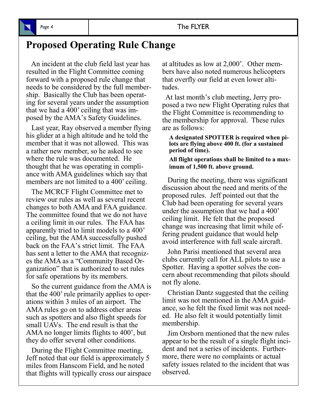## **Proposed Operating Rule Change**

 An incident at the club field last year has resulted in the Flight Committee coming forward with a proposed rule change that needs to be considered by the full membership. Basically the Club has been operating for several years under the assumption that we had a 400' ceiling that was imposed by the AMA's Safety Guidelines.

 Last year, Ray observed a member flying his glider at a high altitude and he told the member that it was not allowed. This was a rather new member, so he asked to see where the rule was documented. He thought that he was operating in compliance with AMA guidelines which say that members are not limited to a 400' ceiling.

 The MCRCF Flight Committee met to review our rules as well as several recent changes to both AMA and FAA guidance. The committee found that we do not have a ceiling limit in our rules. The FAA has apparently tried to limit models to a 400' ceiling, but the AMA successfully pushed back on the FAA's strict limit. The FAA has sent a letter to the AMA that recognizes the AMA as a "Community Based Organization" that is authorized to set rules for safe operations by its members.

 So the current guidance from the AMA is that the 400' rule primarily applies to operations within 3 miles of an airport. The AMA rules go on to address other areas such as spotters and also flight speeds for small UAVs. The end result is that the AMA no longer limits flights to 400', but they do offer several other conditions.

 During the Flight Committee meeting, Jeff noted that our field is approximately 5 miles from Hanscom Field, and he noted that flights will typically cross our airspace at altitudes as low at 2,000'. Other members have also noted numerous helicopters that overfly our field at even lower altitudes.

 At last month's club meeting, Jerry proposed a two new Flight Operating rules that the Flight Committee is recommending to the membership for approval. These rules are as follows:

**A designated SPOTTER is required when pilots are flying above 400 ft. (for a sustained period of time).**

**All flight operations shall be limited to a maximum of 1,500 ft. above ground.**

 During the meeting, there was significant discussion about the need and merits of the proposed rules. Jeff pointed out that the Club had been operating for several years under the assumption that we had a 400' ceiling limit. He felt that the proposed change was increasing that limit while offering prudent guidance that would help avoid interference with full scale aircraft.

 John Parisi mentioned that several area clubs currently call for ALL pilots to use a Spotter. Having a spotter solves the concern about recommending that pilots should not fly alone.

 Christian Dantz suggested that the ceiling limit was not mentioned in the AMA guidance, so he felt the fixed limit was not needed. He also felt it would potentially limit membership.

 Jim Orsborn mentioned that the new rules appear to be the result of a single flight incident and not a series of incidents. Furthermore, there were no complaints or actual safety issues related to the incident that was observed.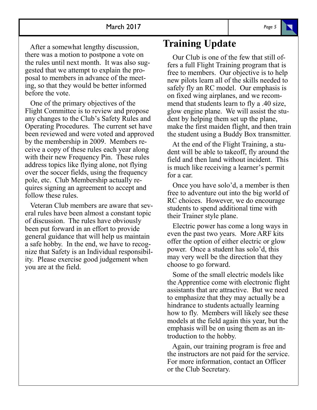After a somewhat lengthy discussion, there was a motion to postpone a vote on the rules until next month. It was also suggested that we attempt to explain the proposal to members in advance of the meeting, so that they would be better informed before the vote.

 One of the primary objectives of the Flight Committee is to review and propose any changes to the Club's Safety Rules and Operating Procedures. The current set have been reviewed and were voted and approved by the membership in 2009. Members receive a copy of these rules each year along with their new Frequency Pin. These rules address topics like flying alone, not flying over the soccer fields, using the frequency pole, etc. Club Membership actually requires signing an agreement to accept and follow these rules.

 Veteran Club members are aware that several rules have been almost a constant topic of discussion. The rules have obviously been put forward in an effort to provide general guidance that will help us maintain a safe hobby. In the end, we have to recognize that Safety is an Individual responsibility. Please exercise good judgement when you are at the field.

#### **Training Update**

 Our Club is one of the few that still offers a full Flight Training program that is free to members. Our objective is to help new pilots learn all of the skills needed to safely fly an RC model. Our emphasis is on fixed wing airplanes, and we recommend that students learn to fly a .40 size, glow engine plane. We will assist the student by helping them set up the plane, make the first maiden flight, and then train the student using a Buddy Box transmitter.

 At the end of the Flight Training, a student will be able to takeoff, fly around the field and then land without incident. This is much like receiving a learner's permit for a car.

 Once you have solo'd, a member is then free to adventure out into the big world of RC choices. However, we do encourage students to spend additional time with their Trainer style plane.

 Electric power has come a long ways in even the past two years. More ARF kits offer the option of either electric or glow power. Once a student has solo'd, this may very well be the direction that they choose to go forward.

 Some of the small electric models like the Apprentice come with electronic flight assistants that are attractive. But we need to emphasize that they may actually be a hindrance to students actually learning how to fly. Members will likely see these models at the field again this year, but the emphasis will be on using them as an introduction to the hobby.

 Again, our training program is free and the instructors are not paid for the service. For more information, contact an Officer or the Club Secretary.